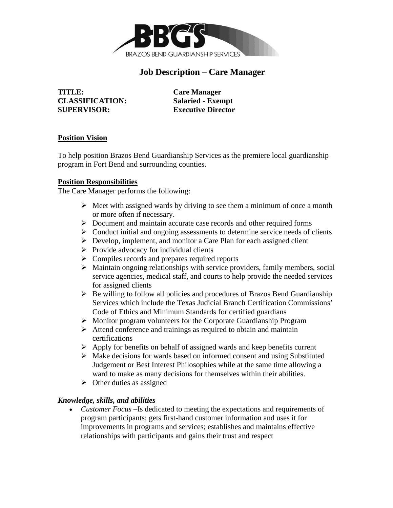

# **Job Description – Care Manager**

**TITLE: Care Manager CLASSIFICATION: Salaried - Exempt SUPERVISOR: Executive Director**

#### **Position Vision**

To help position Brazos Bend Guardianship Services as the premiere local guardianship program in Fort Bend and surrounding counties.

#### **Position Responsibilities**

The Care Manager performs the following:

- $\triangleright$  Meet with assigned wards by driving to see them a minimum of once a month or more often if necessary.
- ➢ Document and maintain accurate case records and other required forms
- $\triangleright$  Conduct initial and ongoing assessments to determine service needs of clients
- ➢ Develop, implement, and monitor a Care Plan for each assigned client
- $\triangleright$  Provide advocacy for individual clients
- ➢ Compiles records and prepares required reports
- ➢ Maintain ongoing relationships with service providers, family members, social service agencies, medical staff, and courts to help provide the needed services for assigned clients
- ➢ Be willing to follow all policies and procedures of Brazos Bend Guardianship Services which include the Texas Judicial Branch Certification Commissions' Code of Ethics and Minimum Standards for certified guardians
- ➢ Monitor program volunteers for the Corporate Guardianship Program
- $\triangleright$  Attend conference and trainings as required to obtain and maintain certifications
- ➢ Apply for benefits on behalf of assigned wards and keep benefits current
- ➢ Make decisions for wards based on informed consent and using Substituted Judgement or Best Interest Philosophies while at the same time allowing a ward to make as many decisions for themselves within their abilities.
- $\triangleright$  Other duties as assigned

# *Knowledge, skills, and abilities*

• *Customer Focus* –Is dedicated to meeting the expectations and requirements of program participants; gets first-hand customer information and uses it for improvements in programs and services; establishes and maintains effective relationships with participants and gains their trust and respect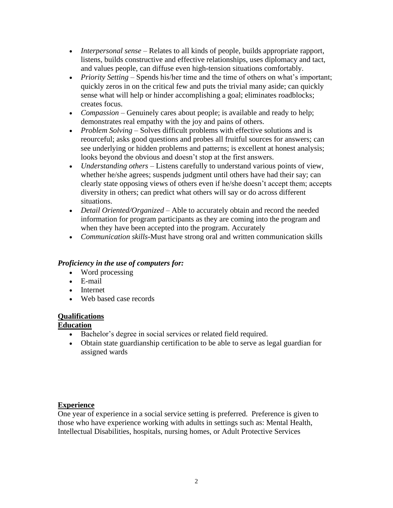- *Interpersonal sense* Relates to all kinds of people, builds appropriate rapport, listens, builds constructive and effective relationships, uses diplomacy and tact, and values people, can diffuse even high-tension situations comfortably.
- *Priority Setting* Spends his/her time and the time of others on what's important; quickly zeros in on the critical few and puts the trivial many aside; can quickly sense what will help or hinder accomplishing a goal; eliminates roadblocks; creates focus.
- *Compassion* Genuinely cares about people; is available and ready to help; demonstrates real empathy with the joy and pains of others.
- *Problem Solving* Solves difficult problems with effective solutions and is reourceful; asks good questions and probes all fruitful sources for answers; can see underlying or hidden problems and patterns; is excellent at honest analysis; looks beyond the obvious and doesn't stop at the first answers.
- *Understanding others*  Listens carefully to understand various points of view, whether he/she agrees; suspends judgment until others have had their say; can clearly state opposing views of others even if he/she doesn't accept them; accepts diversity in others; can predict what others will say or do across different situations.
- *Detail Oriented/Organized* Able to accurately obtain and record the needed information for program participants as they are coming into the program and when they have been accepted into the program. Accurately
- *Communication skills-*Must have strong oral and written communication skills

# *Proficiency in the use of computers for:*

- Word processing
- E-mail
- Internet
- Web based case records

# **Qualifications**

# **Education**

- Bachelor's degree in social services or related field required.
- Obtain state guardianship certification to be able to serve as legal guardian for assigned wards

# **Experience**

One year of experience in a social service setting is preferred. Preference is given to those who have experience working with adults in settings such as: Mental Health, Intellectual Disabilities, hospitals, nursing homes, or Adult Protective Services